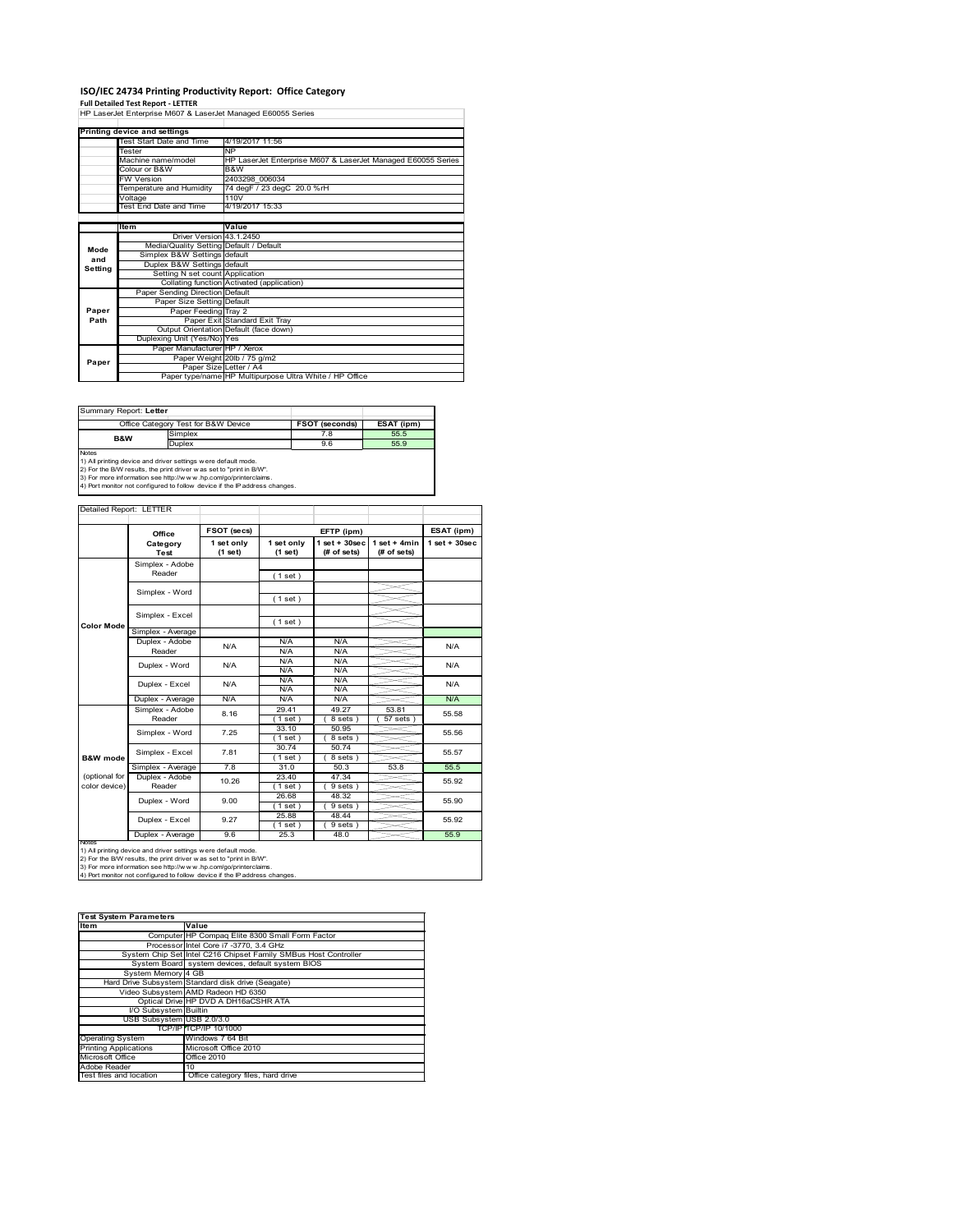## **ISO/IEC 24734 Printing Productivity Report: Office Category**

**Full Detailed Test Report ‐ LETTER** HP LaserJet Enterprise M607 & LaserJet Managed E60055 Series

|         | Printing device and settings            |                                                              |
|---------|-----------------------------------------|--------------------------------------------------------------|
|         | Test Start Date and Time                | 4/19/2017 11:56                                              |
|         | Tester                                  | <b>NP</b>                                                    |
|         | Machine name/model                      | HP LaserJet Enterprise M607 & LaserJet Managed E60055 Series |
|         | Colour or B&W                           | B&W                                                          |
|         | <b>FW Version</b>                       | 2403298 006034                                               |
|         | Temperature and Humidity                | 74 degF / 23 degC 20.0 %rH                                   |
|         | Voltage                                 | 110V                                                         |
|         | Test End Date and Time                  | 4/19/2017 15:33                                              |
|         |                                         |                                                              |
|         | ltem                                    | Value                                                        |
|         | Driver Version 43.1.2450                |                                                              |
| Mode    | Media/Quality Setting Default / Default |                                                              |
| and     | Simplex B&W Settings default            |                                                              |
| Setting | Duplex B&W Settings default             |                                                              |
|         | Setting N set count Application         |                                                              |
|         |                                         | Collating function Activated (application)                   |
|         | Paper Sending Direction Default         |                                                              |
|         | Paper Size Setting Default              |                                                              |
| Paper   | Paper Feeding Tray 2                    |                                                              |
| Path    |                                         | Paper Exit Standard Exit Tray                                |
|         |                                         | Output Orientation Default (face down)                       |
|         | Duplexing Unit (Yes/No) Yes             |                                                              |
|         | Paper Manufacturer HP / Xerox           |                                                              |
| Paper   |                                         | Paper Weight 20lb / 75 g/m2                                  |
|         |                                         | Paper Size Letter / A4                                       |
|         |                                         | Paper type/name HP Multipurpose Ultra White / HP Office      |

Summary Report: **Letter**

|                                                                            | Office Category Test for B&W Device                           | <b>FSOT (seconds)</b> | ESAT (ipm) |  |  |  |
|----------------------------------------------------------------------------|---------------------------------------------------------------|-----------------------|------------|--|--|--|
| <b>B&amp;W</b>                                                             | Simplex                                                       | 7.8                   | 55.5       |  |  |  |
|                                                                            | <b>Duplex</b>                                                 | 9.6                   | 55.9       |  |  |  |
| <b>Notes</b>                                                               |                                                               |                       |            |  |  |  |
|                                                                            | 1) All printing device and driver settings were default mode. |                       |            |  |  |  |
| 2) For the B/W results, the print driver was set to "print in B/W".        |                                                               |                       |            |  |  |  |
| 3) For more information see http://www.hp.com/go/printerclaims.            |                                                               |                       |            |  |  |  |
| 4) Port monitor not configured to follow device if the IP address changes. |                                                               |                       |            |  |  |  |

| Detailed Report: LETTER |  |
|-------------------------|--|

|                     | Office            | FSOT (secs)           | EFTP (ipm)            |                                    |                                | ESAT (ipm)         |  |
|---------------------|-------------------|-----------------------|-----------------------|------------------------------------|--------------------------------|--------------------|--|
|                     | Category<br>Test  | 1 set only<br>(1 set) | 1 set only<br>(1 set) | $1$ set + $30$ sec<br>$#$ of sets) | $1 set + 4 min$<br>(# of sets) | $1$ set + $30$ sec |  |
|                     | Simplex - Adobe   |                       |                       |                                    |                                |                    |  |
|                     | Reader            |                       | (1 set)               |                                    |                                |                    |  |
|                     | Simplex - Word    |                       |                       |                                    |                                |                    |  |
|                     |                   |                       | (1 set)               |                                    |                                |                    |  |
|                     | Simplex - Excel   |                       |                       |                                    |                                |                    |  |
| <b>Color Mode</b>   |                   |                       | (1 set)               |                                    |                                |                    |  |
|                     | Simplex - Average |                       |                       |                                    |                                |                    |  |
|                     | Duplex - Adobe    | N/A                   | N/A                   | N/A                                |                                | N/A                |  |
|                     | Reader            |                       | N/A                   | N/A                                |                                |                    |  |
|                     | Duplex - Word     | N/A                   | N/A                   | N/A                                |                                | N/A                |  |
|                     |                   |                       | N/A                   | N/A                                |                                |                    |  |
|                     | Duplex - Excel    | N/A                   | N/A                   | N/A                                |                                | N/A                |  |
|                     |                   |                       | N/A                   | N/A                                |                                |                    |  |
|                     | Duplex - Average  | N/A                   | N/A                   | N/A                                |                                | N/A                |  |
|                     | Simplex - Adobe   | 8.16                  | 29.41                 | 49.27                              | 53.81                          | 55.58              |  |
|                     | Reader            |                       | $1$ set)              | 8 sets)                            | 57 sets                        |                    |  |
|                     | Simplex - Word    | 7.25                  | 33.10                 | 50.95                              |                                | 55.56              |  |
|                     |                   |                       | (1 set)               | 8 sets)                            |                                |                    |  |
|                     | Simplex - Excel   | 7.81                  | 30.74                 | 50.74                              |                                | 55.57              |  |
| <b>B&amp;W</b> mode |                   |                       | $1$ set)              | 8 sets)                            |                                |                    |  |
|                     | Simplex - Average | 7.8                   | 31.0                  | 50.3                               | 53.8                           | 55.5               |  |
| (optional for       | Duplex - Adobe    | 10.26                 | 23.40                 | 47.34                              |                                | 55.92              |  |
| color device)       | Reader            |                       | $1$ set)              | $9 sets$ )                         |                                |                    |  |
|                     | Duplex - Word     | 9.00                  | 26.68                 | 48.32                              |                                | 55.90              |  |
|                     |                   |                       | $1$ set)              | 9 sets)                            |                                |                    |  |
|                     |                   | 9.27                  | 25.88                 | 48.44                              |                                | 55.92              |  |
|                     | Duplex - Excel    |                       | $1$ set $)$           | $9 sets$ )                         |                                |                    |  |
|                     | Duplex - Average  | 9.6                   | 25.3                  | 48.0                               |                                | 55.9               |  |

Notes<br>1) All printing device and driver settings were default mode.<br>2) For the B/W results, the print driver was set to "print in B/W".<br>3) For more information see http://www.hp.com/go/printerclaims.<br>4) Por more informati

| 4) Port monitor not configured to follow device if the IP address changes. |                                                                 |  |  |  |  |
|----------------------------------------------------------------------------|-----------------------------------------------------------------|--|--|--|--|
|                                                                            |                                                                 |  |  |  |  |
|                                                                            |                                                                 |  |  |  |  |
| <b>Test System Parameters</b>                                              |                                                                 |  |  |  |  |
| <b>Item</b>                                                                | Value                                                           |  |  |  |  |
|                                                                            | Computer HP Compaq Elite 8300 Small Form Factor                 |  |  |  |  |
|                                                                            | Processor Intel Core i7 -3770, 3.4 GHz                          |  |  |  |  |
|                                                                            | System Chip Set Intel C216 Chipset Family SMBus Host Controller |  |  |  |  |
|                                                                            | System Board system devices, default system BIOS                |  |  |  |  |
| System Memory 4 GB                                                         |                                                                 |  |  |  |  |
|                                                                            | Hard Drive Subsystem Standard disk drive (Seagate)              |  |  |  |  |
|                                                                            | Video Subsystem AMD Radeon HD 6350                              |  |  |  |  |
|                                                                            | Optical Drive HP DVD A DH16aCSHR ATA                            |  |  |  |  |
| I/O Subsystem Builtin                                                      |                                                                 |  |  |  |  |
| USB Subsystem USB 2.0/3.0                                                  |                                                                 |  |  |  |  |
|                                                                            | TCP/IP TCP/IP 10/1000                                           |  |  |  |  |
| <b>Operating System</b>                                                    | Windows 7 64 Bit                                                |  |  |  |  |
| <b>Printing Applications</b>                                               | Microsoft Office 2010                                           |  |  |  |  |
| Microsoft Office                                                           | Office 2010                                                     |  |  |  |  |
| Adobe Reader                                                               | 10                                                              |  |  |  |  |
| Test files and location                                                    | Office category files, hard drive                               |  |  |  |  |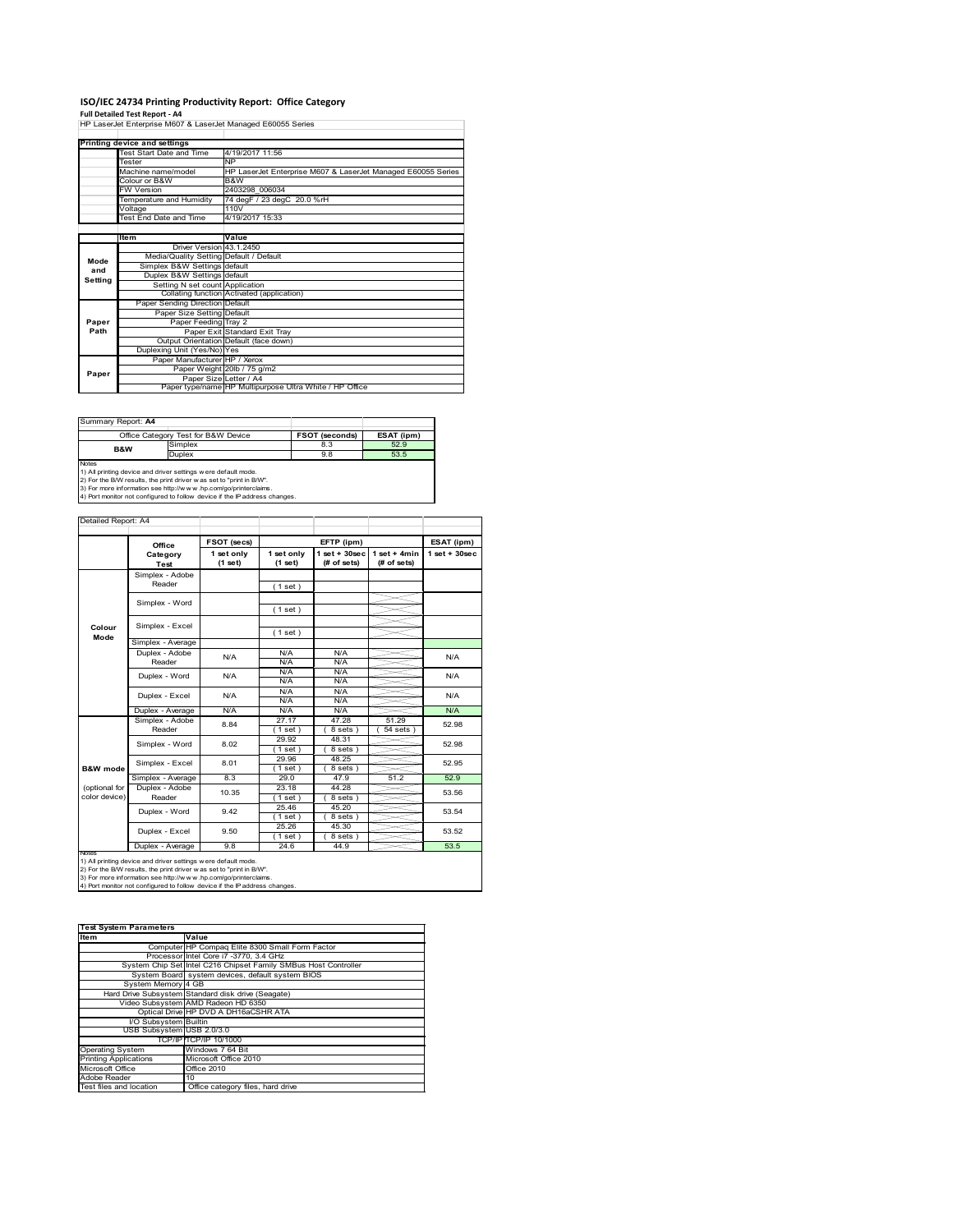### **ISO/IEC 24734 Printing Productivity Report: Office Category**

**Full Detailed Test Report ‐ A4** HP LaserJet Enterprise M607 & LaserJet Managed E60055 Series Test Start Date and Time 4/19/2017 11:56 Tester NP Machine name/model HP LaserJet Enterprise M607 & LaserJet Managed E60055 Series Colour or B&W B&W Fester<br>Fester and and and and an annual MP<br>Colour of B&W<br>Colour of B&W<br>FW Version 2403298 006034 T4 degF / 23 degC 20.0 %rH Voltage 110V Test End Date and Time 4/19/2017 15:33 **Value**<br>1.2. Driver Version 43 Driver Version 43.1.2450 Media/Quality Setting Default / Default Simplex B&W Settings default Duplex B&W Settings default Setting N set count Application<br>Collating function Activated (a ...<br>ctivated (application)<br>efault ding Direction Paper Size Setting Default Paper Feeding Tray 2 Paper Exit Standard Exit Tray Output Orientation Default (face down) Duplexing Unit (Yes/No) Yes Paper Manufacturer HP / Xerox Paper Weight 20lb / 75 g/m2 Paper Size Letter / A4 Paper type/name HP Multipurpose Ultra White / HP Office **Printing device and settings Mode and Setting Paper Path Paper**

| Summary Report: A4 |                                     |                       |            |
|--------------------|-------------------------------------|-----------------------|------------|
|                    | Office Category Test for B&W Device | <b>FSOT (seconds)</b> | ESAT (ipm) |
| <b>B&amp;W</b>     | Simplex                             | 8.3                   | 52.9       |
|                    | <b>Duplex</b>                       | 9.8                   | 53.5       |
| Notes              |                                     |                       |            |

Notes<br>1) All printing device and driver settings were default mode.<br>2) For the B/W results, the print driver was set to "print in B/W".<br>3) For more information see http://www.hp.com/go/printerclaims.<br>4) Por more informatio

| Detailed Report: A4            |                           |                       |                       |                                   |                                 |                    |
|--------------------------------|---------------------------|-----------------------|-----------------------|-----------------------------------|---------------------------------|--------------------|
|                                | Office                    | FSOT (secs)           |                       | EFTP (ipm)                        |                                 | ESAT (ipm)         |
|                                | Category<br><b>Test</b>   | 1 set only<br>(1 set) | 1 set only<br>(1 set) | $1$ set + $30$ sec<br>(# of sets) | $1$ set + 4min<br>(# of sets)   | $1$ set + $30$ sec |
|                                | Simplex - Adobe<br>Reader |                       | (1 set)               |                                   |                                 |                    |
|                                | Simplex - Word            |                       | (1 set)               |                                   |                                 |                    |
| Colour                         | Simplex - Excel           |                       |                       |                                   |                                 |                    |
| Mode                           | Simplex - Average         |                       | (1 set)               |                                   |                                 |                    |
|                                | Duplex - Adobe<br>Reader  | N/A                   | N/A<br>N/A            | N/A<br>N/A                        |                                 | N/A                |
|                                | Duplex - Word             | N/A                   | N/A<br>N/A            | N/A<br>N/A                        |                                 | N/A                |
|                                | Duplex - Excel            | N/A                   | N/A<br>N/A            | N/A<br>N/A                        |                                 | N/A                |
|                                | Duplex - Average          | N/A                   | N/A                   | N/A                               |                                 | N/A                |
|                                | Simplex - Adobe<br>Reader | 8.84                  | 27.17<br>$1$ set)     | 47.28<br>8 sets)                  | 51.29<br>$\overline{54}$ sets ) | 52.98              |
|                                | Simplex - Word            | 8.02                  | 29.92<br>$1$ set)     | 48.31<br>8 sets)                  |                                 | 52.98              |
| <b>B&amp;W</b> mode            | Simplex - Excel           | 8.01                  | 29.96<br>$1$ set)     | 48.25<br>8 sets)                  |                                 | 52.95              |
|                                | Simplex - Average         | 8.3                   | 29.0                  | 47.9                              | 51.2                            | 52.9               |
| (optional for<br>color device) | Duplex - Adobe<br>Reader  | 10.35                 | 23.18<br>$1$ set)     | 44.28<br>8 sets)                  |                                 | 53.56              |
|                                | Duplex - Word             | 9.42                  | 25.46<br>$1$ set)     | 45.20<br>8 sets)                  |                                 | 53.54              |
|                                | Duplex - Excel            | 9.50                  | 25.26<br>$1$ set)     | 45.30<br>8 sets)                  |                                 | 53.52              |
|                                | Duplex - Average          | 9.8                   | 24.6                  | 44.9                              |                                 | 53.5               |

notrest<br>1) All printing device and driver settings were default mode.<br>2) For the B/W results, the print driver was set to "print in B/W".<br>3) For more information see http://www.hp.com/go/printerclaims.<br>4) Por more informat

| <b>Test System Parameters</b> |                                                                 |  |  |  |  |
|-------------------------------|-----------------------------------------------------------------|--|--|--|--|
| ltem                          | Value                                                           |  |  |  |  |
|                               | Computer HP Compaq Elite 8300 Small Form Factor                 |  |  |  |  |
|                               | Processor Intel Core i7 -3770, 3.4 GHz                          |  |  |  |  |
|                               | System Chip Set Intel C216 Chipset Family SMBus Host Controller |  |  |  |  |
|                               | System Board system devices, default system BIOS                |  |  |  |  |
| System Memory 4 GB            |                                                                 |  |  |  |  |
|                               | Hard Drive Subsystem Standard disk drive (Seagate)              |  |  |  |  |
|                               | Video Subsystem AMD Radeon HD 6350                              |  |  |  |  |
|                               | Optical Drive HP DVD A DH16aCSHR ATA                            |  |  |  |  |
| I/O Subsystem Builtin         |                                                                 |  |  |  |  |
| USB Subsystem USB 2.0/3.0     |                                                                 |  |  |  |  |
|                               | TCP/IPITCP/IP 10/1000                                           |  |  |  |  |
| <b>Operating System</b>       | Windows 7 64 Bit                                                |  |  |  |  |
| <b>Printing Applications</b>  | Microsoft Office 2010                                           |  |  |  |  |
| Microsoft Office              | Office 2010                                                     |  |  |  |  |
| Adobe Reader                  | 10                                                              |  |  |  |  |
| Test files and location       | Office category files, hard drive                               |  |  |  |  |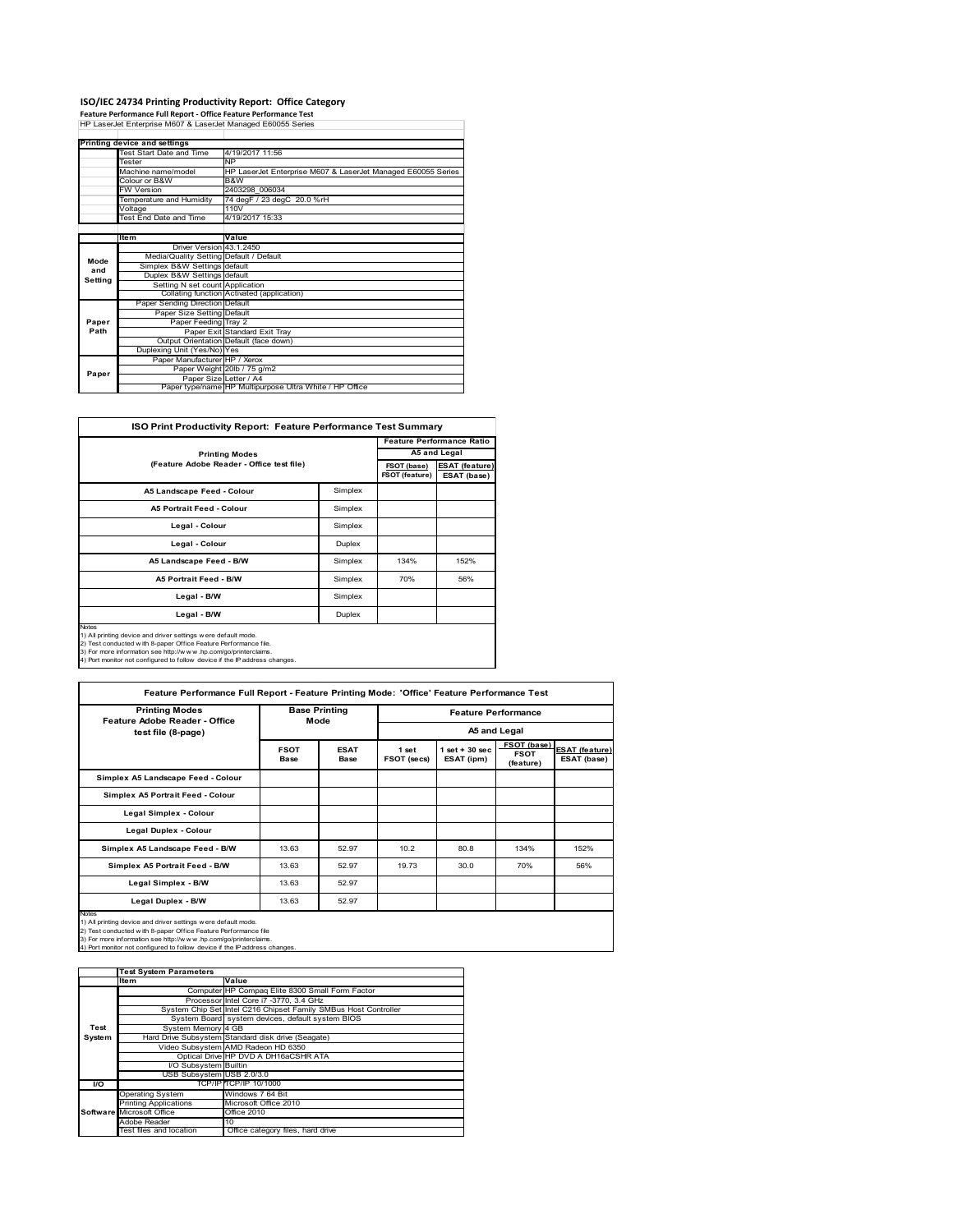# **ISO/IEC 24734 Printing Productivity Report: Office Category Feature Performance Full Report ‐ Office Feature Performance Test** HP LaserJet Enterprise M607 & LaserJet Managed E60055 Series

|         | Printing device and settings            |                                                              |
|---------|-----------------------------------------|--------------------------------------------------------------|
|         | Test Start Date and Time                | 4/19/2017 11:56                                              |
|         | Tester                                  | <b>NP</b>                                                    |
|         | Machine name/model                      | HP LaserJet Enterprise M607 & LaserJet Managed E60055 Series |
|         | Colour or B&W                           | B&W                                                          |
|         | <b>FW Version</b>                       | 2403298 006034                                               |
|         | Temperature and Humidity                | 74 degF / 23 degC 20.0 %rH                                   |
|         | Voltage                                 | 110V                                                         |
|         | <b>Test End Date and Time</b>           | 4/19/2017 15:33                                              |
|         |                                         |                                                              |
|         | Item                                    | Value                                                        |
|         | Driver Version 43.1.2450                |                                                              |
| Mode    | Media/Quality Setting Default / Default |                                                              |
| and     | Simplex B&W Settings default            |                                                              |
| Setting | Duplex B&W Settings default             |                                                              |
|         | Setting N set count Application         |                                                              |
|         |                                         | Collating function Activated (application)                   |
|         | Paper Sending Direction Default         |                                                              |
|         | Paper Size Setting Default              |                                                              |
| Paper   | Paper Feeding Tray 2                    |                                                              |
| Path    |                                         | Paper Exit Standard Exit Tray                                |
|         |                                         | Output Orientation Default (face down)                       |
|         | Duplexing Unit (Yes/No) Yes             |                                                              |
|         | Paper Manufacturer HP / Xerox           |                                                              |
| Paper   |                                         | Paper Weight 20lb / 75 g/m2                                  |
|         | Paper Size Letter / A4                  |                                                              |
|         |                                         | Paper type/name HP Multipurpose Ultra White / HP Office      |

| <b>ISO Print Productivity Report: Feature Performance Test Summary</b>                                                                                                                                       |         |                               |                                      |  |  |  |
|--------------------------------------------------------------------------------------------------------------------------------------------------------------------------------------------------------------|---------|-------------------------------|--------------------------------------|--|--|--|
|                                                                                                                                                                                                              |         |                               |                                      |  |  |  |
| <b>Printing Modes</b>                                                                                                                                                                                        |         |                               | A5 and Legal                         |  |  |  |
| (Feature Adobe Reader - Office test file)                                                                                                                                                                    |         | FSOT (base)<br>FSOT (feature) | <b>ESAT (feature)</b><br>ESAT (base) |  |  |  |
| A5 Landscape Feed - Colour                                                                                                                                                                                   | Simplex |                               |                                      |  |  |  |
| <b>A5 Portrait Feed - Colour</b>                                                                                                                                                                             | Simplex |                               |                                      |  |  |  |
| Legal - Colour                                                                                                                                                                                               | Simplex |                               |                                      |  |  |  |
| Legal - Colour                                                                                                                                                                                               | Duplex  |                               |                                      |  |  |  |
| A5 Landscape Feed - B/W                                                                                                                                                                                      | Simplex | 134%                          | 152%                                 |  |  |  |
| <b>A5 Portrait Feed - B/W</b>                                                                                                                                                                                | Simplex | 70%                           | 56%                                  |  |  |  |
| Legal - B/W                                                                                                                                                                                                  | Simplex |                               |                                      |  |  |  |
| Legal - B/W                                                                                                                                                                                                  | Duplex  |                               |                                      |  |  |  |
| Notes<br>1) All printing device and driver settings were default mode.<br>2) Test conducted with 8-paper Office Feature Performance file.<br>3) For more information see http://www.hp.com/go/printerclaims. |         |                               |                                      |  |  |  |

2) Test conducted with 8-paper Office Feature Performance file.<br>3) For more information see http://w w w .hp.com/go/printerclaims.<br>4) Port monitor not configured to follow device if the IP address changes.

| Feature Performance Full Report - Feature Printing Mode: 'Office' Feature Performance Test                                                                                                                                                                                                |                              |                     |                            |                                 |                                         |                                      |
|-------------------------------------------------------------------------------------------------------------------------------------------------------------------------------------------------------------------------------------------------------------------------------------------|------------------------------|---------------------|----------------------------|---------------------------------|-----------------------------------------|--------------------------------------|
| <b>Printing Modes</b><br><b>Feature Adobe Reader - Office</b>                                                                                                                                                                                                                             | <b>Base Printing</b><br>Mode |                     | <b>Feature Performance</b> |                                 |                                         |                                      |
| test file (8-page)                                                                                                                                                                                                                                                                        |                              |                     | A5 and Legal               |                                 |                                         |                                      |
|                                                                                                                                                                                                                                                                                           | <b>FSOT</b><br><b>Base</b>   | <b>ESAT</b><br>Base | 1 set<br>FSOT (secs)       | $1$ set $+30$ sec<br>ESAT (ipm) | FSOT (base)<br><b>FSOT</b><br>(feature) | <b>ESAT (feature)</b><br>ESAT (base) |
| Simplex A5 Landscape Feed - Colour                                                                                                                                                                                                                                                        |                              |                     |                            |                                 |                                         |                                      |
| Simplex A5 Portrait Feed - Colour                                                                                                                                                                                                                                                         |                              |                     |                            |                                 |                                         |                                      |
| Legal Simplex - Colour                                                                                                                                                                                                                                                                    |                              |                     |                            |                                 |                                         |                                      |
| Legal Duplex - Colour                                                                                                                                                                                                                                                                     |                              |                     |                            |                                 |                                         |                                      |
| Simplex A5 Landscape Feed - B/W                                                                                                                                                                                                                                                           | 13.63                        | 52.97               | 10.2 <sub>2</sub>          | 80.8                            | 134%                                    | 152%                                 |
| Simplex A5 Portrait Feed - B/W                                                                                                                                                                                                                                                            | 13.63                        | 52.97               | 19.73                      | 30.0                            | 70%                                     | 56%                                  |
| Legal Simplex - B/W                                                                                                                                                                                                                                                                       | 13.63                        | 52.97               |                            |                                 |                                         |                                      |
| Legal Duplex - B/W                                                                                                                                                                                                                                                                        | 13.63                        | 52.97               |                            |                                 |                                         |                                      |
| Notes<br>1) All printing device and driver settings were default mode.<br>2) Test conducted with 8-paper Office Feature Performance file<br>3) For more information see http://www.hp.com/go/printerclaims.<br>4) Port monitor not configured to follow device if the IP address changes. |                              |                     |                            |                                 |                                         |                                      |

|        | <b>Test System Parameters</b> |                                                                 |  |  |  |  |
|--------|-------------------------------|-----------------------------------------------------------------|--|--|--|--|
|        | Item<br>Value                 |                                                                 |  |  |  |  |
|        |                               | Computer HP Compaq Elite 8300 Small Form Factor                 |  |  |  |  |
|        |                               | Processor Intel Core i7 -3770, 3.4 GHz                          |  |  |  |  |
|        |                               | System Chip Set Intel C216 Chipset Family SMBus Host Controller |  |  |  |  |
|        |                               | System Board system devices, default system BIOS                |  |  |  |  |
| Test   | System Memory 4 GB            |                                                                 |  |  |  |  |
| System |                               | Hard Drive Subsystem Standard disk drive (Seagate)              |  |  |  |  |
|        |                               | Video Subsystem AMD Radeon HD 6350                              |  |  |  |  |
|        |                               | Optical Drive HP DVD A DH16aCSHR ATA                            |  |  |  |  |
|        | I/O Subsystem Builtin         |                                                                 |  |  |  |  |
|        | USB Subsystem USB 2.0/3.0     |                                                                 |  |  |  |  |
| I/O    |                               | TCP/IP TCP/IP 10/1000                                           |  |  |  |  |
|        | <b>Operating System</b>       | Windows 7 64 Bit                                                |  |  |  |  |
|        | <b>Printing Applications</b>  | Microsoft Office 2010                                           |  |  |  |  |
|        | Software Microsoft Office     | <b>Office 2010</b>                                              |  |  |  |  |
|        | Adobe Reader                  | 10                                                              |  |  |  |  |
|        | Test files and location       | Office category files, hard drive                               |  |  |  |  |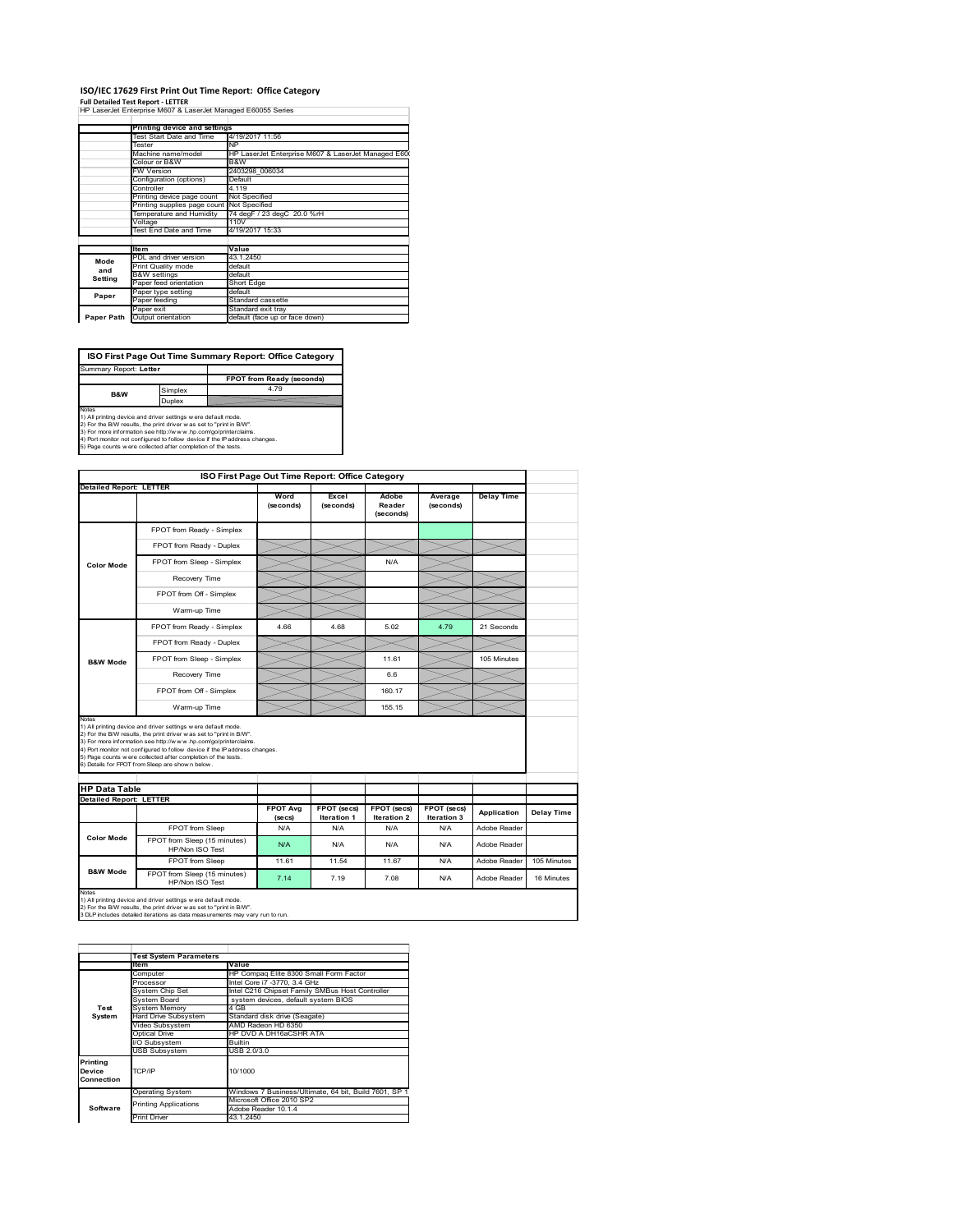## **ISO/IEC 17629 First Print Out Time Report: Office Category**

**Full Detailed Test Report ‐ LETTER** HP LaserJet Enterprise M607 & LaserJet Managed E60055 Series

|            | Printing device and settings               |                                                     |  |  |  |  |
|------------|--------------------------------------------|-----------------------------------------------------|--|--|--|--|
|            | Test Start Date and Time                   | 4/19/2017 11:56                                     |  |  |  |  |
|            | Tester                                     | <b>NP</b>                                           |  |  |  |  |
|            | Machine name/model                         | HP LaserJet Enterprise M607 & LaserJet Managed E600 |  |  |  |  |
|            | Colour or B&W                              | B&W                                                 |  |  |  |  |
|            | <b>FW Version</b>                          | 2403298 006034                                      |  |  |  |  |
|            | Configuration (options)                    | Default                                             |  |  |  |  |
|            | Controller                                 | 4.119                                               |  |  |  |  |
|            | Printing device page count                 | Not Specified                                       |  |  |  |  |
|            | Printing supplies page count Not Specified |                                                     |  |  |  |  |
|            | Temperature and Humidity                   | 74 degF / 23 degC 20.0 %rH                          |  |  |  |  |
|            | Voltage                                    | 110V                                                |  |  |  |  |
|            | Test End Date and Time                     | 4/19/2017 15:33                                     |  |  |  |  |
|            |                                            |                                                     |  |  |  |  |
|            | <b>Item</b>                                | Value                                               |  |  |  |  |
| Mode       | PDL and driver version                     | 43.1.2450                                           |  |  |  |  |
| and        | Print Quality mode                         | default                                             |  |  |  |  |
| Setting    | <b>B&amp;W</b> settings                    | default                                             |  |  |  |  |
|            | Paper feed orientation                     | Short Edge                                          |  |  |  |  |
| Paper      | Paper type setting                         | default                                             |  |  |  |  |
|            | Paper feeding                              | Standard cassette                                   |  |  |  |  |
|            | Paper exit                                 | Standard exit tray                                  |  |  |  |  |
| Paper Path | Output orientation                         | default (face up or face down)                      |  |  |  |  |

**ISO First Page Out Time Summary Report: Office Category**

**FPOT from Ready (seconds)**<br>Simplex 4.79 **Duplex**<br>Notes<br>1) All printing device and driver settings were default mode.<br>2) For the BM results, the print driver was set to "print in BM".<br>4) For more information see http://www.hp.com/golprinterclaims.<br>4) Port monitor Summary Report: **Letter B&W**

|                                                                 |                                                                                                                                                                                                                                                                                                                                                                                                              |                            | ISO First Page Out Time Report: Office Category |                              |                            |                   |             |
|-----------------------------------------------------------------|--------------------------------------------------------------------------------------------------------------------------------------------------------------------------------------------------------------------------------------------------------------------------------------------------------------------------------------------------------------------------------------------------------------|----------------------------|-------------------------------------------------|------------------------------|----------------------------|-------------------|-------------|
| <b>Detailed Report: LETTER</b>                                  |                                                                                                                                                                                                                                                                                                                                                                                                              | Word<br>(seconds)          | Excel<br>(seconds)                              | Adobe<br>Reader<br>(seconds) | Average<br>(seconds)       | <b>Delay Time</b> |             |
|                                                                 | FPOT from Ready - Simplex                                                                                                                                                                                                                                                                                                                                                                                    |                            |                                                 |                              |                            |                   |             |
| <b>Color Mode</b>                                               | FPOT from Ready - Duplex                                                                                                                                                                                                                                                                                                                                                                                     |                            |                                                 |                              |                            |                   |             |
|                                                                 | FPOT from Sleep - Simplex                                                                                                                                                                                                                                                                                                                                                                                    |                            |                                                 | N/A                          |                            |                   |             |
|                                                                 | Recovery Time                                                                                                                                                                                                                                                                                                                                                                                                |                            |                                                 |                              |                            |                   |             |
|                                                                 | FPOT from Off - Simplex                                                                                                                                                                                                                                                                                                                                                                                      |                            |                                                 |                              |                            |                   |             |
|                                                                 | Warm-up Time                                                                                                                                                                                                                                                                                                                                                                                                 |                            |                                                 |                              |                            |                   |             |
|                                                                 | FPOT from Ready - Simplex                                                                                                                                                                                                                                                                                                                                                                                    | 4.66                       | 4.68                                            | 5.02                         | 4.79                       | 21 Seconds        |             |
|                                                                 | FPOT from Ready - Duplex                                                                                                                                                                                                                                                                                                                                                                                     |                            |                                                 |                              |                            |                   |             |
| <b>B&amp;W Mode</b>                                             | FPOT from Sleep - Simplex                                                                                                                                                                                                                                                                                                                                                                                    |                            |                                                 | 11.61                        |                            | 105 Minutes       |             |
|                                                                 | Recovery Time                                                                                                                                                                                                                                                                                                                                                                                                |                            |                                                 | 66                           |                            |                   |             |
|                                                                 | FPOT from Off - Simplex                                                                                                                                                                                                                                                                                                                                                                                      |                            |                                                 | 160.17                       |                            |                   |             |
|                                                                 |                                                                                                                                                                                                                                                                                                                                                                                                              |                            |                                                 |                              |                            |                   |             |
|                                                                 | Warm-up Time                                                                                                                                                                                                                                                                                                                                                                                                 |                            |                                                 | 155.15                       |                            |                   |             |
|                                                                 | 1) All printing device and driver settings w ere default mode.<br>2) For the B/W results, the print driver w as set to "print in B/W".<br>3) For more information see http://www.hp.com/go/printerclaims.<br>4) Port monitor not configured to follow device if the IP address changes.<br>5) Page counts w ere collected after completion of the tests.<br>6) Details for FPOT from Sleep are show n below. |                            |                                                 |                              |                            |                   |             |
|                                                                 |                                                                                                                                                                                                                                                                                                                                                                                                              |                            |                                                 |                              |                            |                   |             |
| Notes<br><b>HP Data Table</b><br><b>Detailed Report: LETTER</b> |                                                                                                                                                                                                                                                                                                                                                                                                              | <b>FPOT Ava</b><br>(se cs) | FPOT (secs)<br>Iteration 1                      | FPOT (secs)<br>Iteration 2   | FPOT (secs)<br>Iteration 3 | Application       | Delay Time  |
|                                                                 | FPOT from Sleep                                                                                                                                                                                                                                                                                                                                                                                              | N/A                        | N/A                                             | N/A                          | N/A                        | Adobe Reader      |             |
| Color Mode                                                      | FPOT from Sleep (15 minutes)<br>HP/Non ISO Test                                                                                                                                                                                                                                                                                                                                                              | N/A                        | N/A                                             | N/A                          | N/A                        | Adobe Reader      |             |
| <b>B&amp;W Mode</b>                                             | FPOT from Sleep                                                                                                                                                                                                                                                                                                                                                                                              | 11.61                      | 11.54                                           | 11.67                        | N/A                        | Adobe Reader      | 105 Minutes |

1) All printing device and driver settings w ere default mode.<br>2) For the B/W results, the print driver w as set to "print in B/W".<br>3 DLP includes detailed iterations as data measurements may vary run to run.

|                                  | <b>Test System Parameters</b> |                                                       |  |  |  |
|----------------------------------|-------------------------------|-------------------------------------------------------|--|--|--|
|                                  | <b>Item</b>                   | Value                                                 |  |  |  |
|                                  | Computer                      | HP Compag Elite 8300 Small Form Factor                |  |  |  |
|                                  | Processor                     | Intel Core i7 -3770, 3.4 GHz                          |  |  |  |
|                                  | System Chip Set               | Intel C216 Chipset Family SMBus Host Controller       |  |  |  |
|                                  | System Board                  | system devices, default system BIOS                   |  |  |  |
| Test                             | <b>System Memory</b>          | 4 GB                                                  |  |  |  |
| System                           | Hard Drive Subsystem          | Standard disk drive (Seagate)                         |  |  |  |
|                                  | Video Subsystem               | AMD Radeon HD 6350                                    |  |  |  |
|                                  | Optical Drive                 | HP DVD A DH16aCSHR ATA                                |  |  |  |
|                                  | I/O Subsystem                 | <b>Builtin</b>                                        |  |  |  |
|                                  | <b>USB Subsystem</b>          | USB 2.0/3.0                                           |  |  |  |
| Printing<br>Device<br>Connection | TCP/IP                        | 10/1000                                               |  |  |  |
|                                  | <b>Operating System</b>       | Windows 7 Business/Ultimate, 64 bit, Build 7601, SP 1 |  |  |  |
|                                  | <b>Printing Applications</b>  | Microsoft Office 2010 SP2                             |  |  |  |
| Software                         |                               | Adobe Reader 10.1.4                                   |  |  |  |
|                                  | <b>Print Driver</b>           | 43.1.2450                                             |  |  |  |